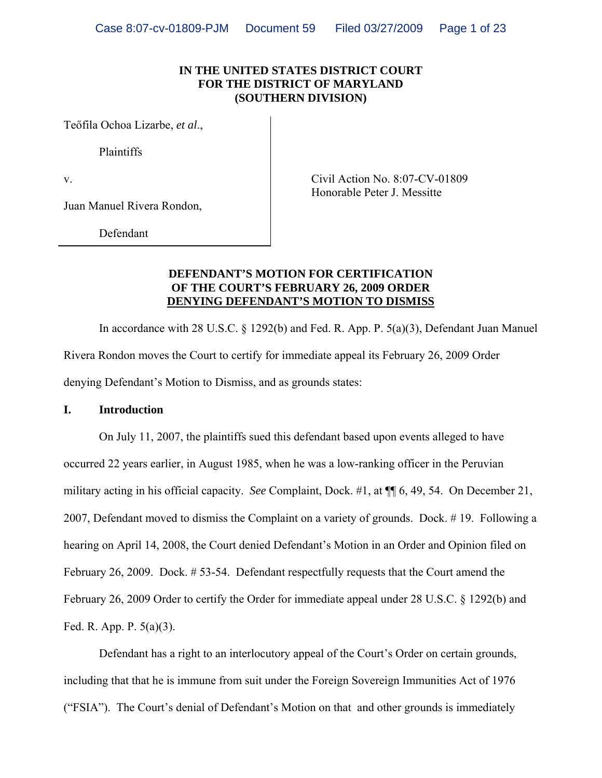### **IN THE UNITED STATES DISTRICT COURT FOR THE DISTRICT OF MARYLAND (SOUTHERN DIVISION)**

Teőfila Ochoa Lizarbe, *et al*.,

Plaintiffs

Juan Manuel Rivera Rondon,

v. Civil Action No. 8:07-CV-01809 Honorable Peter J. Messitte

Defendant

### **DEFENDANT'S MOTION FOR CERTIFICATION OF THE COURT'S FEBRUARY 26, 2009 ORDER DENYING DEFENDANT'S MOTION TO DISMISS**

In accordance with 28 U.S.C. § 1292(b) and Fed. R. App. P. 5(a)(3), Defendant Juan Manuel Rivera Rondon moves the Court to certify for immediate appeal its February 26, 2009 Order denying Defendant's Motion to Dismiss, and as grounds states:

### **I. Introduction**

On July 11, 2007, the plaintiffs sued this defendant based upon events alleged to have occurred 22 years earlier, in August 1985, when he was a low-ranking officer in the Peruvian military acting in his official capacity. *See* Complaint, Dock. #1, at ¶¶ 6, 49, 54. On December 21, 2007, Defendant moved to dismiss the Complaint on a variety of grounds. Dock. # 19. Following a hearing on April 14, 2008, the Court denied Defendant's Motion in an Order and Opinion filed on February 26, 2009. Dock. # 53-54. Defendant respectfully requests that the Court amend the February 26, 2009 Order to certify the Order for immediate appeal under 28 U.S.C. § 1292(b) and Fed. R. App. P. 5(a)(3).

Defendant has a right to an interlocutory appeal of the Court's Order on certain grounds, including that that he is immune from suit under the Foreign Sovereign Immunities Act of 1976 ("FSIA"). The Court's denial of Defendant's Motion on that and other grounds is immediately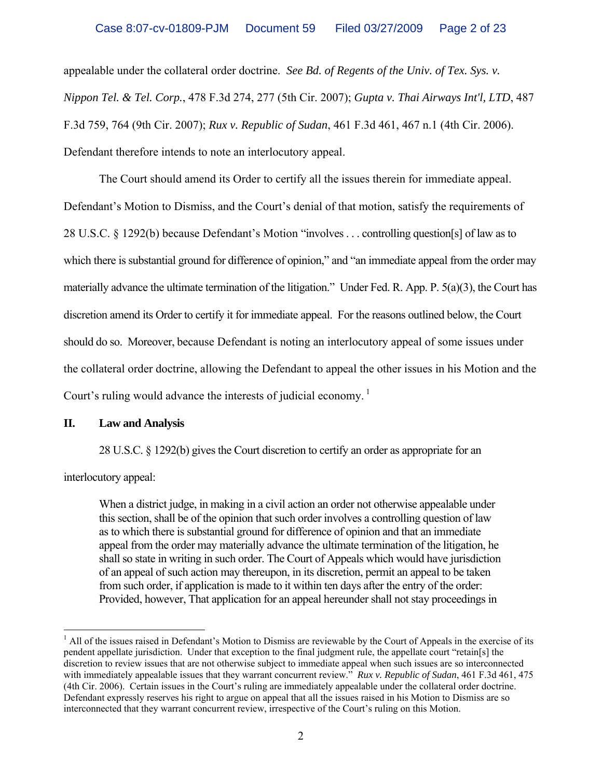appealable under the collateral order doctrine. *See Bd. of Regents of the Univ. of Tex. Sys. v. Nippon Tel. & Tel. Corp.*, 478 F.3d 274, 277 (5th Cir. 2007); *Gupta v. Thai Airways Int'l, LTD*, 487 F.3d 759, 764 (9th Cir. 2007); *Rux v. Republic of Sudan*, 461 F.3d 461, 467 n.1 (4th Cir. 2006). Defendant therefore intends to note an interlocutory appeal.

The Court should amend its Order to certify all the issues therein for immediate appeal. Defendant's Motion to Dismiss, and the Court's denial of that motion, satisfy the requirements of 28 U.S.C. § 1292(b) because Defendant's Motion "involves . . . controlling question[s] of law as to which there is substantial ground for difference of opinion," and "an immediate appeal from the order may materially advance the ultimate termination of the litigation." Under Fed. R. App. P. 5(a)(3), the Court has discretion amend its Order to certify it for immediate appeal. For the reasons outlined below, the Court should do so. Moreover, because Defendant is noting an interlocutory appeal of some issues under the collateral order doctrine, allowing the Defendant to appeal the other issues in his Motion and the Court's ruling would advance the interests of judicial economy.<sup>1</sup>

## **II. Law and Analysis**

28 U.S.C. § 1292(b) gives the Court discretion to certify an order as appropriate for an

interlocutory appeal:

When a district judge, in making in a civil action an order not otherwise appealable under this section, shall be of the opinion that such order involves a controlling question of law as to which there is substantial ground for difference of opinion and that an immediate appeal from the order may materially advance the ultimate termination of the litigation, he shall so state in writing in such order. The Court of Appeals which would have jurisdiction of an appeal of such action may thereupon, in its discretion, permit an appeal to be taken from such order, if application is made to it within ten days after the entry of the order: Provided, however, That application for an appeal hereunder shall not stay proceedings in

<span id="page-1-0"></span> $\overline{a}$  $<sup>1</sup>$  All of the issues raised in Defendant's Motion to Dismiss are reviewable by the Court of Appeals in the exercise of its</sup> pendent appellate jurisdiction. Under that exception to the final judgment rule, the appellate court "retain[s] the discretion to review issues that are not otherwise subject to immediate appeal when such issues are so interconnected with immediately appealable issues that they warrant concurrent review." *Rux v. Republic of Sudan*, 461 F.3d 461, 475 (4th Cir. 2006). Certain issues in the Court's ruling are immediately appealable under the collateral order doctrine. Defendant expressly reserves his right to argue on appeal that all the issues raised in his Motion to Dismiss are so interconnected that they warrant concurrent review, irrespective of the Court's ruling on this Motion.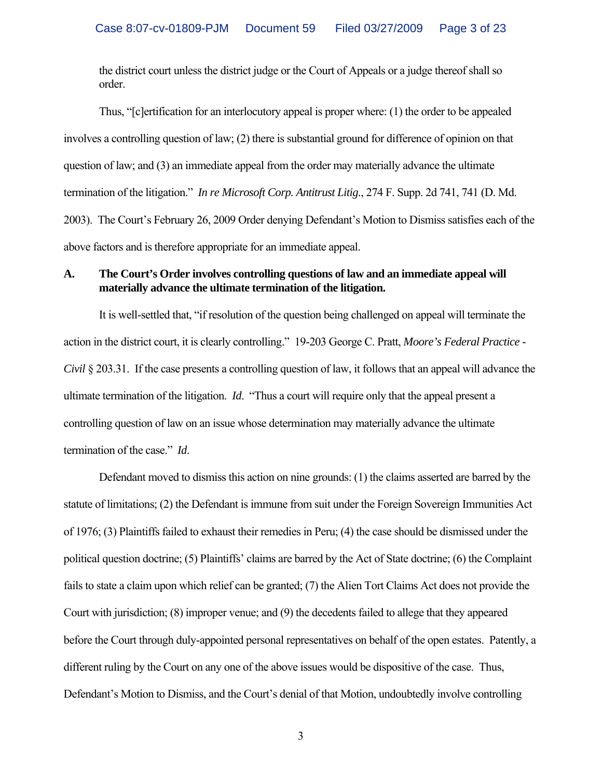the district court unless the district judge or the Court of Appeals or a judge thereof shall so order.

Thus, "[c]ertification for an interlocutory appeal is proper where: (1) the order to be appealed involves a controlling question of law; (2) there is substantial ground for difference of opinion on that question of law; and (3) an immediate appeal from the order may materially advance the ultimate termination of the litigation." *In re Microsoft Corp. Antitrust Litig.*, 274 F. Supp. 2d 741, 741 (D. Md. 2003). The Court's February 26, 2009 Order denying Defendant's Motion to Dismiss satisfies each of the above factors and is therefore appropriate for an immediate appeal.

### **A. The Court's Order involves controlling questions of law and an immediate appeal will materially advance the ultimate termination of the litigation.**

It is well-settled that, "if resolution of the question being challenged on appeal will terminate the action in the district court, it is clearly controlling." 19-203 George C. Pratt, *Moore's Federal Practice - Civil* § 203.31. If the case presents a controlling question of law, it follows that an appeal will advance the ultimate termination of the litigation. *Id*. "Thus a court will require only that the appeal present a controlling question of law on an issue whose determination may materially advance the ultimate termination of the case." *Id*.

Defendant moved to dismiss this action on nine grounds: (1) the claims asserted are barred by the statute of limitations; (2) the Defendant is immune from suit under the Foreign Sovereign Immunities Act of 1976; (3) Plaintiffs failed to exhaust their remedies in Peru; (4) the case should be dismissed under the political question doctrine; (5) Plaintiffs' claims are barred by the Act of State doctrine; (6) the Complaint fails to state a claim upon which relief can be granted; (7) the Alien Tort Claims Act does not provide the Court with jurisdiction; (8) improper venue; and (9) the decedents failed to allege that they appeared before the Court through duly-appointed personal representatives on behalf of the open estates. Patently, a different ruling by the Court on any one of the above issues would be dispositive of the case. Thus, Defendant's Motion to Dismiss, and the Court's denial of that Motion, undoubtedly involve controlling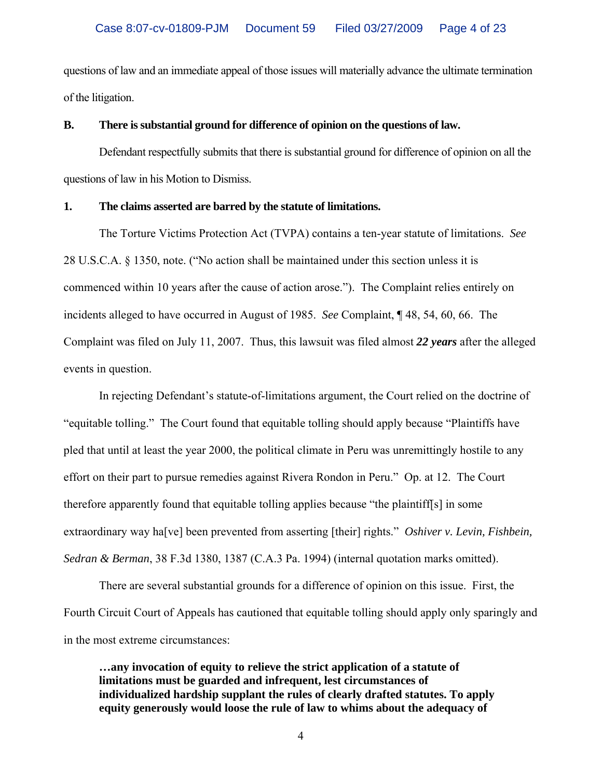questions of law and an immediate appeal of those issues will materially advance the ultimate termination of the litigation.

### **B. There is substantial ground for difference of opinion on the questions of law.**

Defendant respectfully submits that there is substantial ground for difference of opinion on all the questions of law in his Motion to Dismiss.

### **1. The claims asserted are barred by the statute of limitations.**

The Torture Victims Protection Act (TVPA) contains a ten-year statute of limitations. *See* 28 U.S.C.A. § 1350, note. ("No action shall be maintained under this section unless it is commenced within 10 years after the cause of action arose."). The Complaint relies entirely on incidents alleged to have occurred in August of 1985. *See* Complaint, ¶ 48, 54, 60, 66. The Complaint was filed on July 11, 2007. Thus, this lawsuit was filed almost *22 years* after the alleged events in question.

In rejecting Defendant's statute-of-limitations argument, the Court relied on the doctrine of "equitable tolling." The Court found that equitable tolling should apply because "Plaintiffs have pled that until at least the year 2000, the political climate in Peru was unremittingly hostile to any effort on their part to pursue remedies against Rivera Rondon in Peru." Op. at 12. The Court therefore apparently found that equitable tolling applies because "the plaintiff[s] in some extraordinary way ha[ve] been prevented from asserting [their] rights." *Oshiver v. Levin, Fishbein, Sedran & Berman*, 38 F.3d 1380, 1387 (C.A.3 Pa. 1994) (internal quotation marks omitted).

There are several substantial grounds for a difference of opinion on this issue. First, the Fourth Circuit Court of Appeals has cautioned that equitable tolling should apply only sparingly and in the most extreme circumstances:

**…any invocation of equity to relieve the strict application of a statute of limitations must be guarded and infrequent, lest circumstances of individualized hardship supplant the rules of clearly drafted statutes. To apply equity generously would loose the rule of law to whims about the adequacy of**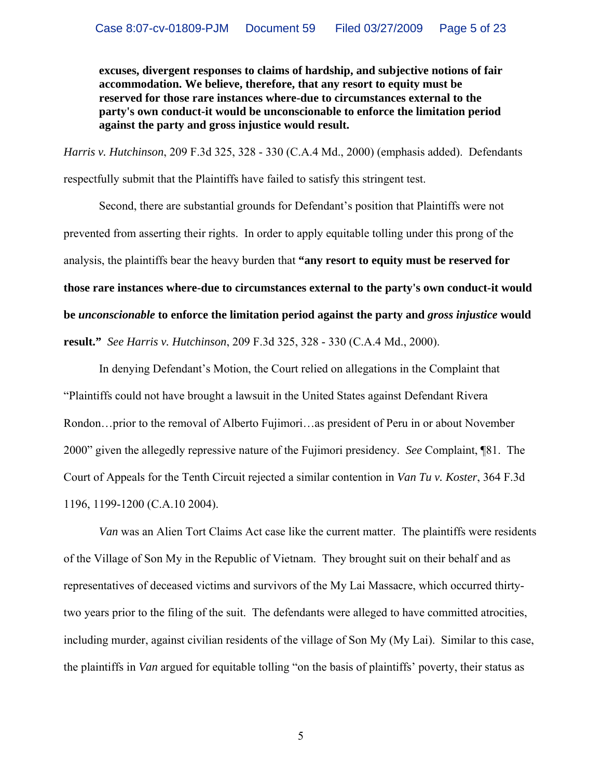**excuses, divergent responses to claims of hardship, and subjective notions of fair accommodation. We believe, therefore, that any resort to equity must be reserved for those rare instances where-due to circumstances external to the party's own conduct-it would be unconscionable to enforce the limitation period against the party and gross injustice would result.** 

*Harris v. Hutchinson*, 209 F.3d 325, 328 - 330 (C.A.4 Md., 2000) (emphasis added). Defendants respectfully submit that the Plaintiffs have failed to satisfy this stringent test.

Second, there are substantial grounds for Defendant's position that Plaintiffs were not prevented from asserting their rights. In order to apply equitable tolling under this prong of the analysis, the plaintiffs bear the heavy burden that **"any resort to equity must be reserved for those rare instances where-due to circumstances external to the party's own conduct-it would be** *unconscionable* **to enforce the limitation period against the party and** *gross injustice* **would result."** *See Harris v. Hutchinson*, 209 F.3d 325, 328 - 330 (C.A.4 Md., 2000).

In denying Defendant's Motion, the Court relied on allegations in the Complaint that "Plaintiffs could not have brought a lawsuit in the United States against Defendant Rivera Rondon…prior to the removal of Alberto Fujimori…as president of Peru in or about November 2000" given the allegedly repressive nature of the Fujimori presidency. *See* Complaint, ¶81. The Court of Appeals for the Tenth Circuit rejected a similar contention in *Van Tu v. Koster*, 364 F.3d 1196, 1199-1200 (C.A.10 2004).

*Van* was an Alien Tort Claims Act case like the current matter. The plaintiffs were residents of the Village of Son My in the Republic of Vietnam. They brought suit on their behalf and as representatives of deceased victims and survivors of the My Lai Massacre, which occurred thirtytwo years prior to the filing of the suit. The defendants were alleged to have committed atrocities, including murder, against civilian residents of the village of Son My (My Lai). Similar to this case, the plaintiffs in *Van* argued for equitable tolling "on the basis of plaintiffs' poverty, their status as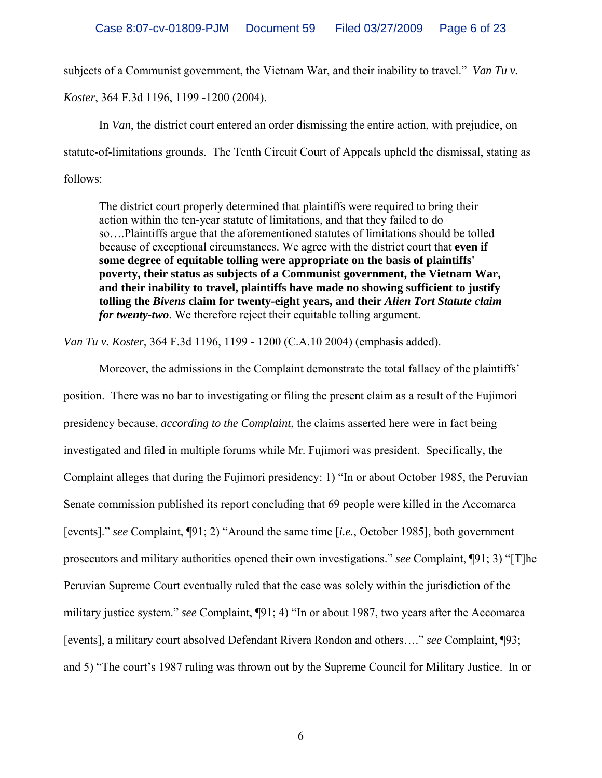subjects of a Communist government, the Vietnam War, and their inability to travel." *Van Tu v.* 

*Koster*, 364 F.3d 1196, 1199 -1200 (2004).

In *Van*, the district court entered an order dismissing the entire action, with prejudice, on statute-of-limitations grounds. The Tenth Circuit Court of Appeals upheld the dismissal, stating as follows:

The district court properly determined that plaintiffs were required to bring their action within the ten-year statute of limitations, and that they failed to do so….Plaintiffs argue that the aforementioned statutes of limitations should be tolled because of exceptional circumstances. We agree with the district court that **even if some degree of equitable tolling were appropriate on the basis of plaintiffs' poverty, their status as subjects of a Communist government, the Vietnam War, and their inability to travel, plaintiffs have made no showing sufficient to justify tolling the** *Bivens* **claim for twenty-eight years, and their** *Alien Tort Statute claim for twenty-two*. We therefore reject their equitable tolling argument.

*Van Tu v. Koster*, 364 F.3d 1196, 1199 - 1200 (C.A.10 2004) (emphasis added).

Moreover, the admissions in the Complaint demonstrate the total fallacy of the plaintiffs' position. There was no bar to investigating or filing the present claim as a result of the Fujimori presidency because, *according to the Complaint*, the claims asserted here were in fact being investigated and filed in multiple forums while Mr. Fujimori was president. Specifically, the Complaint alleges that during the Fujimori presidency: 1) "In or about October 1985, the Peruvian Senate commission published its report concluding that 69 people were killed in the Accomarca [events]." *see* Complaint, ¶91; 2) "Around the same time [*i.e.*, October 1985], both government prosecutors and military authorities opened their own investigations." *see* Complaint, ¶91; 3) "[T]he Peruvian Supreme Court eventually ruled that the case was solely within the jurisdiction of the military justice system." *see* Complaint, ¶91; 4) "In or about 1987, two years after the Accomarca [events], a military court absolved Defendant Rivera Rondon and others…." *see* Complaint, ¶93; and 5) "The court's 1987 ruling was thrown out by the Supreme Council for Military Justice. In or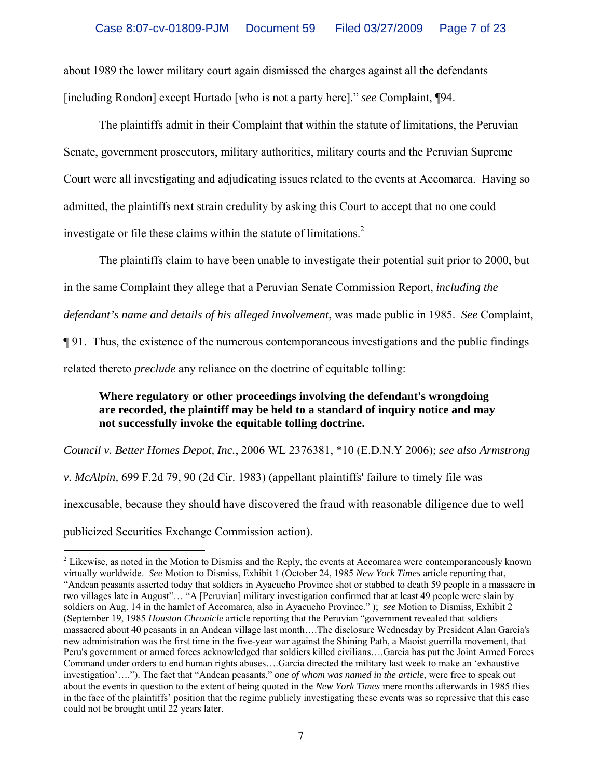about 1989 the lower military court again dismissed the charges against all the defendants [including Rondon] except Hurtado [who is not a party here]." *see* Complaint, ¶94.

The plaintiffs admit in their Complaint that within the statute of limitations, the Peruvian Senate, government prosecutors, military authorities, military courts and the Peruvian Supreme Court were all investigating and adjudicating issues related to the events at Accomarca. Having so admitted, the plaintiffs next strain credulity by asking this Court to accept that no one could investigate or file these claims within the statute of limitations.<sup>[2](#page-6-0)</sup>

The plaintiffs claim to have been unable to investigate their potential suit prior to 2000, but

in the same Complaint they allege that a Peruvian Senate Commission Report, *including the* 

*defendant's name and details of his alleged involvement*, was made public in 1985. *See* Complaint,

¶ 91. Thus, the existence of the numerous contemporaneous investigations and the public findings

related thereto *preclude* any reliance on the doctrine of equitable tolling:

# **Where regulatory or other proceedings involving the defendant's wrongdoing are recorded, the plaintiff may be held to a standard of inquiry notice and may not successfully invoke the equitable tolling doctrine.**

*Council v. Better Homes Depot, Inc.*, 2006 WL 2376381, \*10 (E.D.N.Y 2006); *see also Armstrong v. McAlpin,* 699 F.2d 79, 90 (2d Cir. 1983) (appellant plaintiffs' failure to timely file was inexcusable, because they should have discovered the fraud with reasonable diligence due to well

publicized Securities Exchange Commission action).

 $\overline{a}$ 

<span id="page-6-0"></span> $2^2$  Likewise, as noted in the Motion to Dismiss and the Reply, the events at Accomarca were contemporaneously known virtually worldwide. *See* Motion to Dismiss, Exhibit 1 (October 24, 1985 *New York Times* article reporting that, "Andean peasants asserted today that soldiers in Ayacucho Province shot or stabbed to death 59 people in a massacre in two villages late in August"… "A [Peruvian] military investigation confirmed that at least 49 people were slain by soldiers on Aug. 14 in the hamlet of Accomarca, also in Ayacucho Province." ); *see* Motion to Dismiss*,* Exhibit 2 (September 19, 1985 *Houston Chronicle* article reporting that the Peruvian "government revealed that soldiers massacred about 40 peasants in an Andean village last month….The disclosure Wednesday by President Alan Garcia's new administration was the first time in the five-year war against the Shining Path, a Maoist guerrilla movement, that Peru's government or armed forces acknowledged that soldiers killed civilians….Garcia has put the Joint Armed Forces Command under orders to end human rights abuses….Garcia directed the military last week to make an 'exhaustive investigation'…."). The fact that "Andean peasants," *one of whom was named in the article*, were free to speak out about the events in question to the extent of being quoted in the *New York Times* mere months afterwards in 1985 flies in the face of the plaintiffs' position that the regime publicly investigating these events was so repressive that this case could not be brought until 22 years later.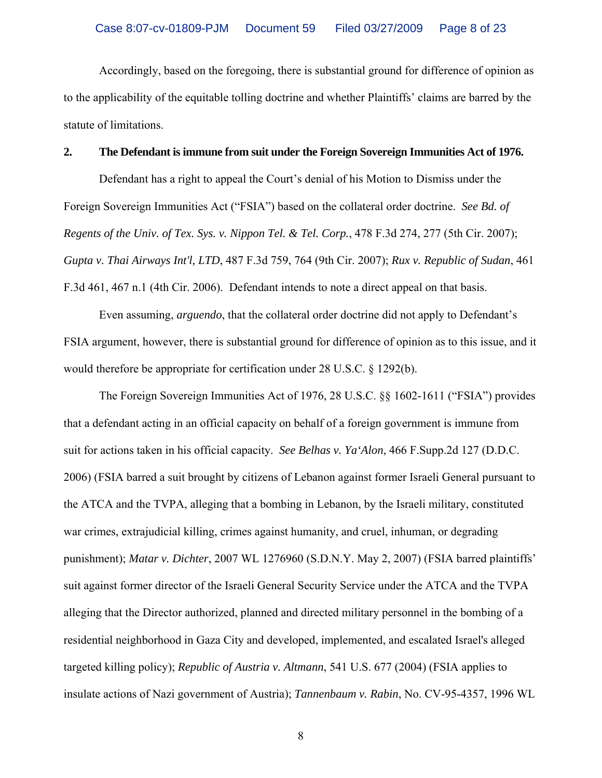Accordingly, based on the foregoing, there is substantial ground for difference of opinion as to the applicability of the equitable tolling doctrine and whether Plaintiffs' claims are barred by the statute of limitations.

### **2. The Defendant is immune from suit under the Foreign Sovereign Immunities Act of 1976.**

Defendant has a right to appeal the Court's denial of his Motion to Dismiss under the Foreign Sovereign Immunities Act ("FSIA") based on the collateral order doctrine. *See Bd. of Regents of the Univ. of Tex. Sys. v. Nippon Tel. & Tel. Corp.*, 478 F.3d 274, 277 (5th Cir. 2007); *Gupta v. Thai Airways Int'l, LTD*, 487 F.3d 759, 764 (9th Cir. 2007); *Rux v. Republic of Sudan*, 461 F.3d 461, 467 n.1 (4th Cir. 2006). Defendant intends to note a direct appeal on that basis.

 Even assuming, *arguendo*, that the collateral order doctrine did not apply to Defendant's FSIA argument, however, there is substantial ground for difference of opinion as to this issue, and it would therefore be appropriate for certification under 28 U.S.C. § 1292(b).

The Foreign Sovereign Immunities Act of 1976, 28 U.S.C. §§ 1602-1611 ("FSIA") provides that a defendant acting in an official capacity on behalf of a foreign government is immune from suit for actions taken in his official capacity. *See Belhas v. Ya'Alon*, 466 F.Supp.2d 127 (D.D.C. 2006) (FSIA barred a suit brought by citizens of Lebanon against former Israeli General pursuant to the ATCA and the TVPA, alleging that a bombing in Lebanon, by the Israeli military, constituted war crimes, extrajudicial killing, crimes against humanity, and cruel, inhuman, or degrading punishment); *Matar v. Dichter*, 2007 WL 1276960 (S.D.N.Y. May 2, 2007) (FSIA barred plaintiffs' suit against former director of the Israeli General Security Service under the ATCA and the TVPA alleging that the Director authorized, planned and directed military personnel in the bombing of a residential neighborhood in Gaza City and developed, implemented, and escalated Israel's alleged targeted killing policy); *Republic of Austria v. Altmann*, 541 U.S. 677 (2004) (FSIA applies to insulate actions of Nazi government of Austria); *Tannenbaum v. Rabin*, No. CV-95-4357, 1996 WL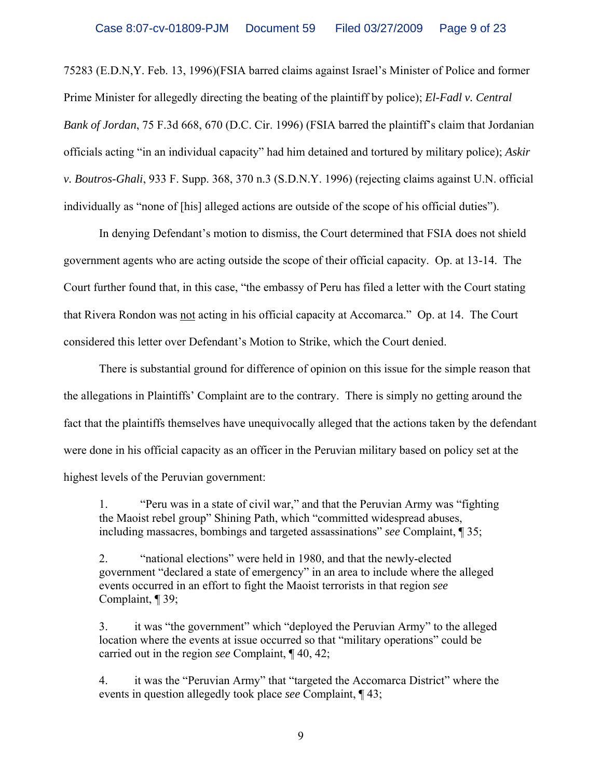75283 (E.D.N,Y. Feb. 13, 1996)(FSIA barred claims against Israel's Minister of Police and former Prime Minister for allegedly directing the beating of the plaintiff by police); *El-Fadl v. Central Bank of Jordan*, 75 F.3d 668, 670 (D.C. Cir. 1996) (FSIA barred the plaintiff's claim that Jordanian officials acting "in an individual capacity" had him detained and tortured by military police); *Askir v. Boutros-Ghali*, 933 F. Supp. 368, 370 n.3 (S.D.N.Y. 1996) (rejecting claims against U.N. official individually as "none of [his] alleged actions are outside of the scope of his official duties").

In denying Defendant's motion to dismiss, the Court determined that FSIA does not shield government agents who are acting outside the scope of their official capacity. Op. at 13-14. The Court further found that, in this case, "the embassy of Peru has filed a letter with the Court stating that Rivera Rondon was not acting in his official capacity at Accomarca." Op. at 14. The Court considered this letter over Defendant's Motion to Strike, which the Court denied.

There is substantial ground for difference of opinion on this issue for the simple reason that the allegations in Plaintiffs' Complaint are to the contrary. There is simply no getting around the fact that the plaintiffs themselves have unequivocally alleged that the actions taken by the defendant were done in his official capacity as an officer in the Peruvian military based on policy set at the highest levels of the Peruvian government:

1. "Peru was in a state of civil war," and that the Peruvian Army was "fighting the Maoist rebel group" Shining Path, which "committed widespread abuses, including massacres, bombings and targeted assassinations" *see* Complaint, ¶ 35;

2. "national elections" were held in 1980, and that the newly-elected government "declared a state of emergency" in an area to include where the alleged events occurred in an effort to fight the Maoist terrorists in that region *see* Complaint, ¶ 39;

3. it was "the government" which "deployed the Peruvian Army" to the alleged location where the events at issue occurred so that "military operations" could be carried out in the region *see* Complaint, ¶ 40, 42;

4. it was the "Peruvian Army" that "targeted the Accomarca District" where the events in question allegedly took place *see* Complaint, ¶ 43;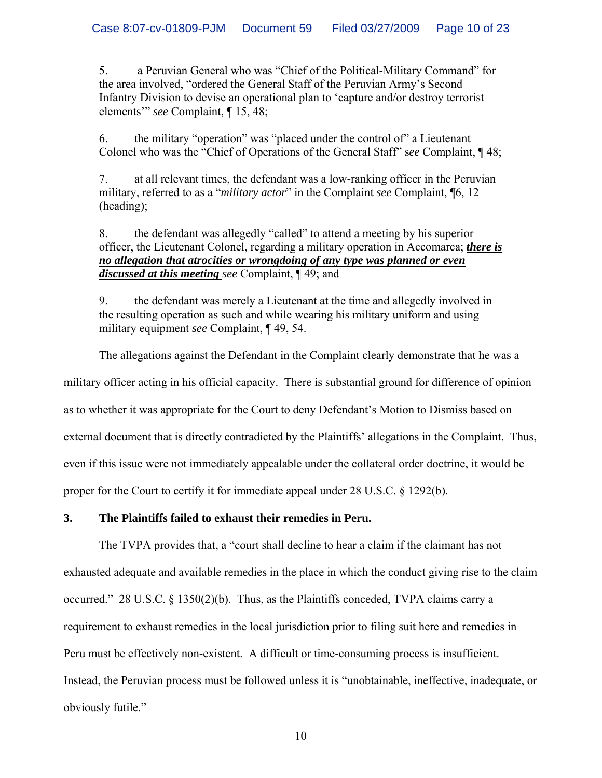5. a Peruvian General who was "Chief of the Political-Military Command" for the area involved, "ordered the General Staff of the Peruvian Army's Second Infantry Division to devise an operational plan to 'capture and/or destroy terrorist elements'" *see* Complaint, ¶ 15, 48;

6. the military "operation" was "placed under the control of" a Lieutenant Colonel who was the "Chief of Operations of the General Staff" s*ee* Complaint, ¶ 48;

7. at all relevant times, the defendant was a low-ranking officer in the Peruvian military, referred to as a "*military actor*" in the Complaint *see* Complaint, ¶6, 12 (heading);

## 8. the defendant was allegedly "called" to attend a meeting by his superior officer, the Lieutenant Colonel, regarding a military operation in Accomarca; *there is no allegation that atrocities or wrongdoing of any type was planned or even discussed at this meeting see* Complaint, ¶ 49; and

9. the defendant was merely a Lieutenant at the time and allegedly involved in the resulting operation as such and while wearing his military uniform and using military equipment *see* Complaint, ¶ 49, 54.

The allegations against the Defendant in the Complaint clearly demonstrate that he was a military officer acting in his official capacity. There is substantial ground for difference of opinion as to whether it was appropriate for the Court to deny Defendant's Motion to Dismiss based on external document that is directly contradicted by the Plaintiffs' allegations in the Complaint. Thus, even if this issue were not immediately appealable under the collateral order doctrine, it would be proper for the Court to certify it for immediate appeal under 28 U.S.C. § 1292(b).

## **3. The Plaintiffs failed to exhaust their remedies in Peru.**

The TVPA provides that, a "court shall decline to hear a claim if the claimant has not exhausted adequate and available remedies in the place in which the conduct giving rise to the claim occurred." 28 U.S.C. § 1350(2)(b). Thus, as the Plaintiffs conceded, TVPA claims carry a requirement to exhaust remedies in the local jurisdiction prior to filing suit here and remedies in Peru must be effectively non-existent. A difficult or time-consuming process is insufficient. Instead, the Peruvian process must be followed unless it is "unobtainable, ineffective, inadequate, or obviously futile."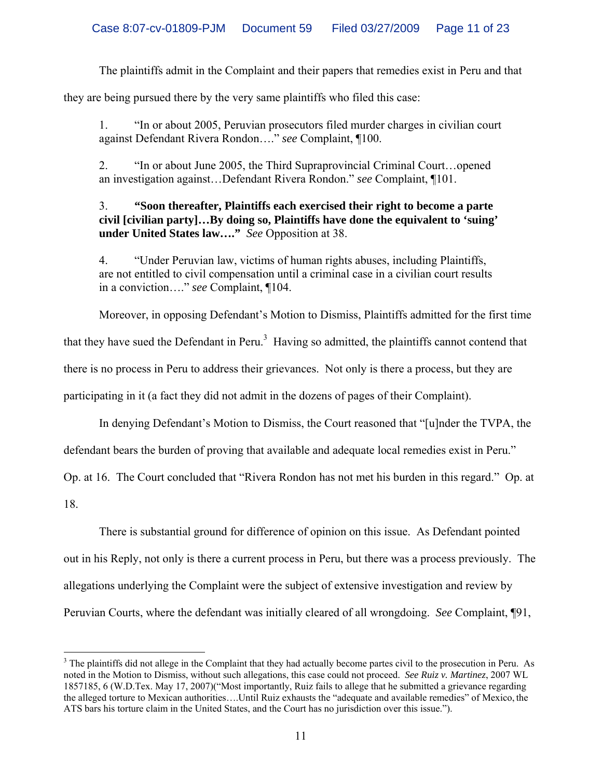The plaintiffs admit in the Complaint and their papers that remedies exist in Peru and that

they are being pursued there by the very same plaintiffs who filed this case:

1. "In or about 2005, Peruvian prosecutors filed murder charges in civilian court against Defendant Rivera Rondon…." *see* Complaint, ¶100.

2. "In or about June 2005, the Third Supraprovincial Criminal Court…opened an investigation against…Defendant Rivera Rondon." *see* Complaint, ¶101.

## 3. **"Soon thereafter, Plaintiffs each exercised their right to become a parte civil [civilian party]…By doing so, Plaintiffs have done the equivalent to 'suing' under United States law…."** *See* Opposition at 38.

4. "Under Peruvian law, victims of human rights abuses, including Plaintiffs, are not entitled to civil compensation until a criminal case in a civilian court results in a conviction…." *see* Complaint, ¶104.

Moreover, in opposing Defendant's Motion to Dismiss, Plaintiffs admitted for the first time

that they have sued the Defendant in Peru.<sup>[3](#page-10-0)</sup> Having so admitted, the plaintiffs cannot contend that

there is no process in Peru to address their grievances. Not only is there a process, but they are

participating in it (a fact they did not admit in the dozens of pages of their Complaint).

In denying Defendant's Motion to Dismiss, the Court reasoned that "[u]nder the TVPA, the

defendant bears the burden of proving that available and adequate local remedies exist in Peru."

Op. at 16. The Court concluded that "Rivera Rondon has not met his burden in this regard." Op. at

18.

 $\overline{a}$ 

There is substantial ground for difference of opinion on this issue. As Defendant pointed

out in his Reply, not only is there a current process in Peru, but there was a process previously. The

allegations underlying the Complaint were the subject of extensive investigation and review by

Peruvian Courts, where the defendant was initially cleared of all wrongdoing. *See* Complaint, ¶91,

<span id="page-10-0"></span> $3$  The plaintiffs did not allege in the Complaint that they had actually become partes civil to the prosecution in Peru. As noted in the Motion to Dismiss, without such allegations, this case could not proceed. *See Ruiz v. Martinez*, 2007 WL 1857185, 6 (W.D.Tex. May 17, 2007)("Most importantly, Ruiz fails to allege that he submitted a grievance regarding the alleged torture to Mexican authorities….Until Ruiz exhausts the "adequate and available remedies" of Mexico, the ATS bars his torture claim in the United States, and the Court has no jurisdiction over this issue.").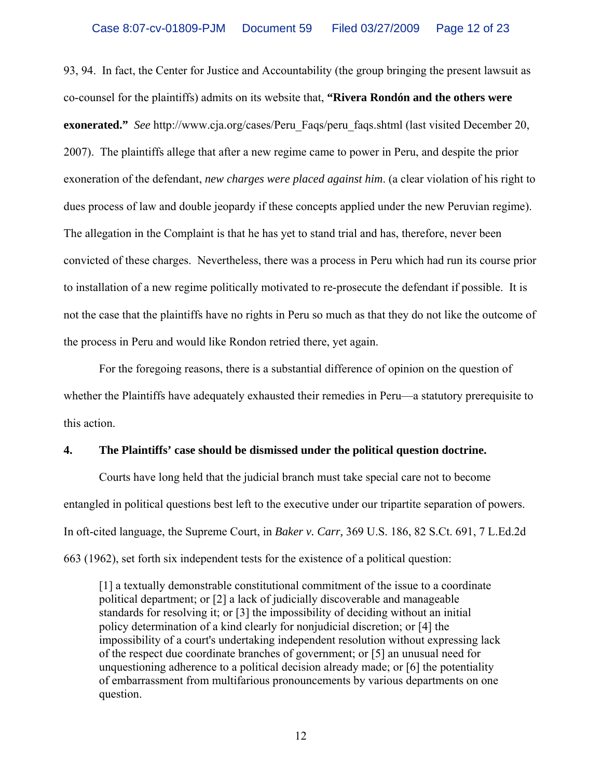93, 94. In fact, the Center for Justice and Accountability (the group bringing the present lawsuit as co-counsel for the plaintiffs) admits on its website that, **"Rivera Rondón and the others were exonerated."** *See* http://www.cja.org/cases/Peru\_Faqs/peru\_faqs.shtml (last visited December 20, 2007). The plaintiffs allege that after a new regime came to power in Peru, and despite the prior exoneration of the defendant, *new charges were placed against him*. (a clear violation of his right to dues process of law and double jeopardy if these concepts applied under the new Peruvian regime). The allegation in the Complaint is that he has yet to stand trial and has, therefore, never been convicted of these charges. Nevertheless, there was a process in Peru which had run its course prior to installation of a new regime politically motivated to re-prosecute the defendant if possible. It is not the case that the plaintiffs have no rights in Peru so much as that they do not like the outcome of the process in Peru and would like Rondon retried there, yet again.

For the foregoing reasons, there is a substantial difference of opinion on the question of whether the Plaintiffs have adequately exhausted their remedies in Peru—a statutory prerequisite to this action.

### **4. The Plaintiffs' case should be dismissed under the political question doctrine.**

Courts have long held that the judicial branch must take special care not to become entangled in political questions best left to the executive under our tripartite separation of powers. In oft-cited language, the Supreme Court, in *Baker v. Carr,* 369 U.S. 186, 82 S.Ct. 691, 7 L.Ed.2d 663 (1962), set forth six independent tests for the existence of a political question:

[1] a textually demonstrable constitutional commitment of the issue to a coordinate political department; or [2] a lack of judicially discoverable and manageable standards for resolving it; or [3] the impossibility of deciding without an initial policy determination of a kind clearly for nonjudicial discretion; or [4] the impossibility of a court's undertaking independent resolution without expressing lack of the respect due coordinate branches of government; or [5] an unusual need for unquestioning adherence to a political decision already made; or [6] the potentiality of embarrassment from multifarious pronouncements by various departments on one question.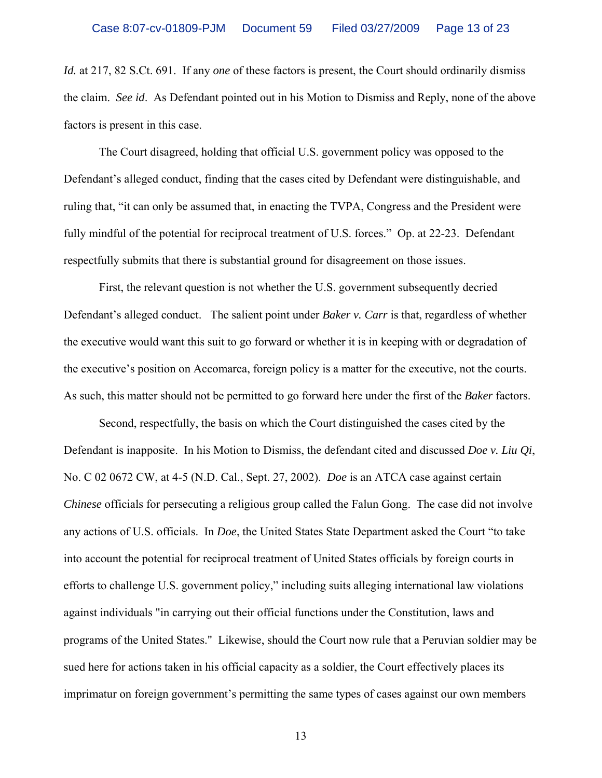*Id.* at 217, 82 S.Ct. 691. If any *one* of these factors is present, the Court should ordinarily dismiss the claim. *See id*. As Defendant pointed out in his Motion to Dismiss and Reply, none of the above factors is present in this case.

The Court disagreed, holding that official U.S. government policy was opposed to the Defendant's alleged conduct, finding that the cases cited by Defendant were distinguishable, and ruling that, "it can only be assumed that, in enacting the TVPA, Congress and the President were fully mindful of the potential for reciprocal treatment of U.S. forces." Op. at 22-23. Defendant respectfully submits that there is substantial ground for disagreement on those issues.

First, the relevant question is not whether the U.S. government subsequently decried Defendant's alleged conduct. The salient point under *Baker v. Carr* is that, regardless of whether the executive would want this suit to go forward or whether it is in keeping with or degradation of the executive's position on Accomarca, foreign policy is a matter for the executive, not the courts. As such, this matter should not be permitted to go forward here under the first of the *Baker* factors.

Second, respectfully, the basis on which the Court distinguished the cases cited by the Defendant is inapposite. In his Motion to Dismiss, the defendant cited and discussed *Doe v. Liu Qi*, No. C 02 0672 CW, at 4-5 (N.D. Cal., Sept. 27, 2002). *Doe* is an ATCA case against certain *Chinese* officials for persecuting a religious group called the Falun Gong. The case did not involve any actions of U.S. officials. In *Doe*, the United States State Department asked the Court "to take into account the potential for reciprocal treatment of United States officials by foreign courts in efforts to challenge U.S. government policy," including suits alleging international law violations against individuals "in carrying out their official functions under the Constitution, laws and programs of the United States." Likewise, should the Court now rule that a Peruvian soldier may be sued here for actions taken in his official capacity as a soldier, the Court effectively places its imprimatur on foreign government's permitting the same types of cases against our own members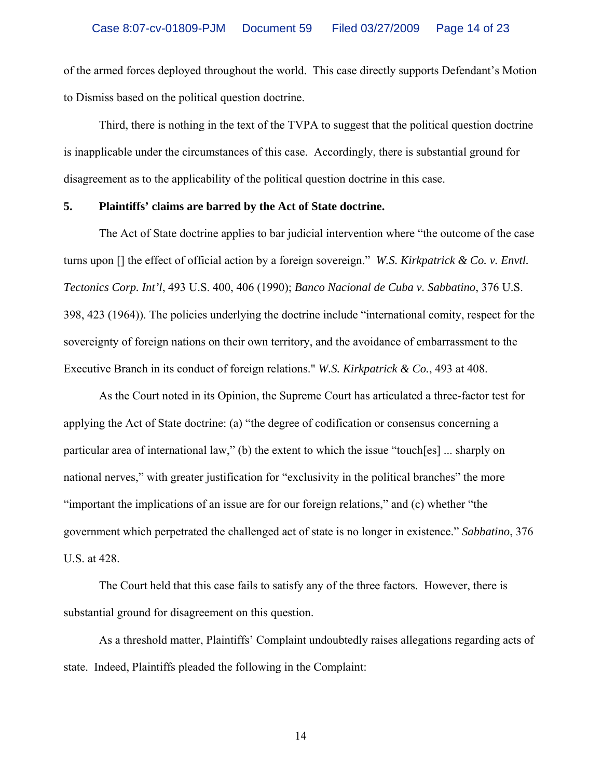of the armed forces deployed throughout the world. This case directly supports Defendant's Motion to Dismiss based on the political question doctrine.

Third, there is nothing in the text of the TVPA to suggest that the political question doctrine is inapplicable under the circumstances of this case. Accordingly, there is substantial ground for disagreement as to the applicability of the political question doctrine in this case.

### **5. Plaintiffs' claims are barred by the Act of State doctrine.**

The Act of State doctrine applies to bar judicial intervention where "the outcome of the case turns upon [] the effect of official action by a foreign sovereign." *W.S. Kirkpatrick & Co. v. Envtl. Tectonics Corp. Int'l*, 493 U.S. 400, 406 (1990); *Banco Nacional de Cuba v. Sabbatino*, 376 U.S. 398, 423 (1964)). The policies underlying the doctrine include "international comity, respect for the sovereignty of foreign nations on their own territory, and the avoidance of embarrassment to the Executive Branch in its conduct of foreign relations." *W.S. Kirkpatrick & Co.*, 493 at 408.

As the Court noted in its Opinion, the Supreme Court has articulated a three-factor test for applying the Act of State doctrine: (a) "the degree of codification or consensus concerning a particular area of international law," (b) the extent to which the issue "touch[es] ... sharply on national nerves," with greater justification for "exclusivity in the political branches" the more "important the implications of an issue are for our foreign relations," and (c) whether "the government which perpetrated the challenged act of state is no longer in existence." *Sabbatino*, 376 U.S. at 428.

The Court held that this case fails to satisfy any of the three factors. However, there is substantial ground for disagreement on this question.

As a threshold matter, Plaintiffs' Complaint undoubtedly raises allegations regarding acts of state. Indeed, Plaintiffs pleaded the following in the Complaint: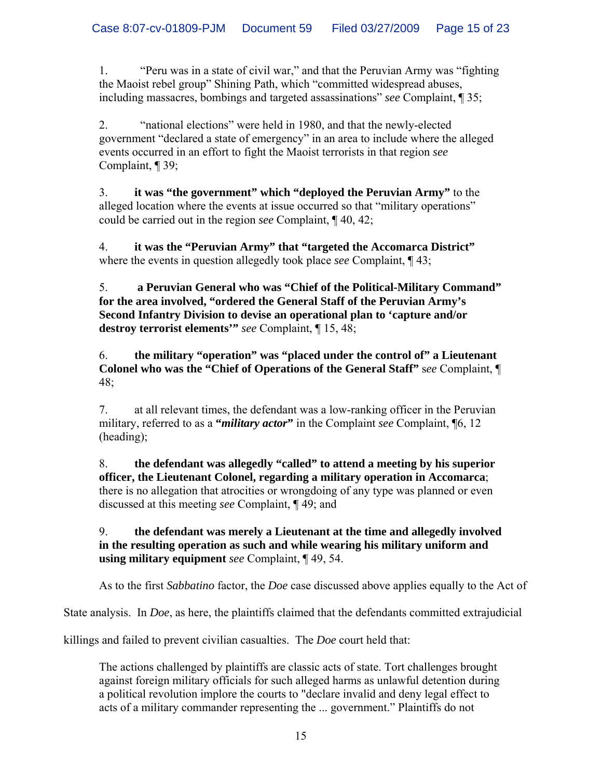1. "Peru was in a state of civil war," and that the Peruvian Army was "fighting the Maoist rebel group" Shining Path, which "committed widespread abuses, including massacres, bombings and targeted assassinations" *see* Complaint, ¶ 35;

2. "national elections" were held in 1980, and that the newly-elected government "declared a state of emergency" in an area to include where the alleged events occurred in an effort to fight the Maoist terrorists in that region *see* Complaint, ¶ 39;

3. **it was "the government" which "deployed the Peruvian Army"** to the alleged location where the events at issue occurred so that "military operations" could be carried out in the region *see* Complaint, ¶ 40, 42;

4. **it was the "Peruvian Army" that "targeted the Accomarca District"** where the events in question allegedly took place *see* Complaint, ¶ 43;

5. **a Peruvian General who was "Chief of the Political-Military Command" for the area involved, "ordered the General Staff of the Peruvian Army's Second Infantry Division to devise an operational plan to 'capture and/or destroy terrorist elements'"** *see* Complaint, ¶ 15, 48;

6. **the military "operation" was "placed under the control of" a Lieutenant Colonel who was the "Chief of Operations of the General Staff"** s*ee* Complaint, ¶ 48;

7. at all relevant times, the defendant was a low-ranking officer in the Peruvian military, referred to as a **"***military actor***"** in the Complaint *see* Complaint, ¶6, 12 (heading);

8. **the defendant was allegedly "called" to attend a meeting by his superior officer, the Lieutenant Colonel, regarding a military operation in Accomarca**; there is no allegation that atrocities or wrongdoing of any type was planned or even discussed at this meeting *see* Complaint, ¶ 49; and

9. **the defendant was merely a Lieutenant at the time and allegedly involved in the resulting operation as such and while wearing his military uniform and using military equipment** *see* Complaint, ¶ 49, 54.

As to the first *Sabbatino* factor, the *Doe* case discussed above applies equally to the Act of

State analysis. In *Doe*, as here, the plaintiffs claimed that the defendants committed extrajudicial

killings and failed to prevent civilian casualties. The *Doe* court held that:

The actions challenged by plaintiffs are classic acts of state. Tort challenges brought against foreign military officials for such alleged harms as unlawful detention during a political revolution implore the courts to "declare invalid and deny legal effect to acts of a military commander representing the ... government." Plaintiffs do not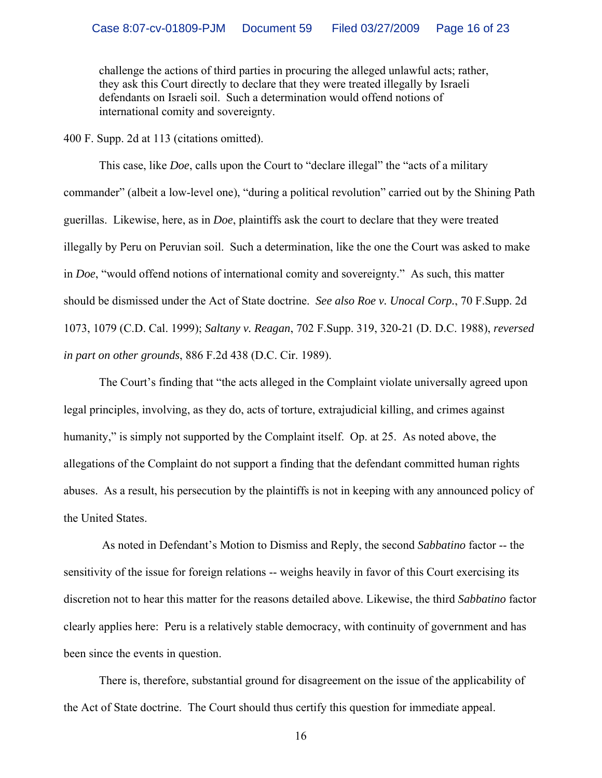challenge the actions of third parties in procuring the alleged unlawful acts; rather, they ask this Court directly to declare that they were treated illegally by Israeli defendants on Israeli soil. Such a determination would offend notions of international comity and sovereignty.

400 F. Supp. 2d at 113 (citations omitted).

 This case, like *Doe*, calls upon the Court to "declare illegal" the "acts of a military commander" (albeit a low-level one), "during a political revolution" carried out by the Shining Path guerillas. Likewise, here, as in *Doe*, plaintiffs ask the court to declare that they were treated illegally by Peru on Peruvian soil. Such a determination, like the one the Court was asked to make in *Doe*, "would offend notions of international comity and sovereignty." As such, this matter should be dismissed under the Act of State doctrine. *See also Roe v. Unocal Corp.*, 70 F.Supp. 2d 1073, 1079 (C.D. Cal. 1999); *Saltany v. Reagan*, 702 F.Supp. 319, 320-21 (D. D.C. 1988), *reversed in part on other grounds*, 886 F.2d 438 (D.C. Cir. 1989).

The Court's finding that "the acts alleged in the Complaint violate universally agreed upon legal principles, involving, as they do, acts of torture, extrajudicial killing, and crimes against humanity," is simply not supported by the Complaint itself. Op. at 25. As noted above, the allegations of the Complaint do not support a finding that the defendant committed human rights abuses. As a result, his persecution by the plaintiffs is not in keeping with any announced policy of the United States.

 As noted in Defendant's Motion to Dismiss and Reply, the second *Sabbatino* factor -- the sensitivity of the issue for foreign relations -- weighs heavily in favor of this Court exercising its discretion not to hear this matter for the reasons detailed above. Likewise, the third *Sabbatino* factor clearly applies here: Peru is a relatively stable democracy, with continuity of government and has been since the events in question.

There is, therefore, substantial ground for disagreement on the issue of the applicability of the Act of State doctrine. The Court should thus certify this question for immediate appeal.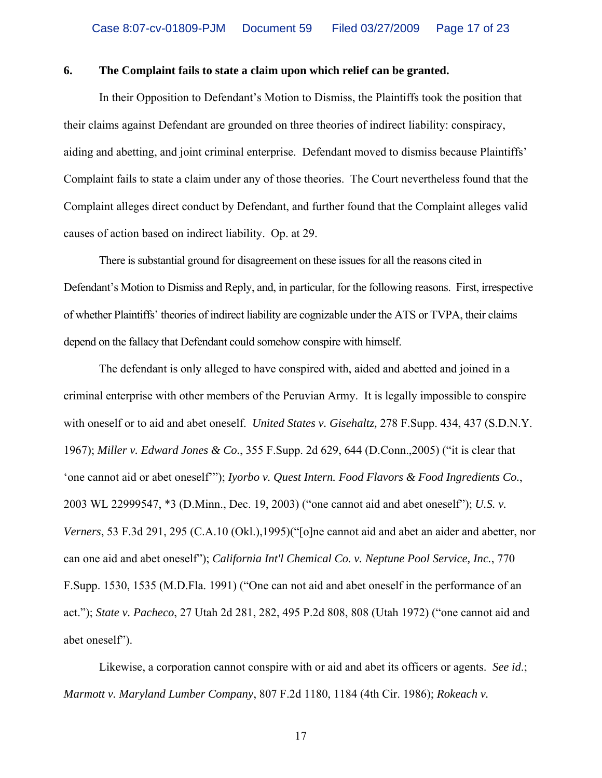#### **6. The Complaint fails to state a claim upon which relief can be granted.**

In their Opposition to Defendant's Motion to Dismiss, the Plaintiffs took the position that their claims against Defendant are grounded on three theories of indirect liability: conspiracy, aiding and abetting, and joint criminal enterprise. Defendant moved to dismiss because Plaintiffs' Complaint fails to state a claim under any of those theories. The Court nevertheless found that the Complaint alleges direct conduct by Defendant, and further found that the Complaint alleges valid causes of action based on indirect liability. Op. at 29.

There is substantial ground for disagreement on these issues for all the reasons cited in Defendant's Motion to Dismiss and Reply, and, in particular, for the following reasons. First, irrespective of whether Plaintiffs' theories of indirect liability are cognizable under the ATS or TVPA, their claims depend on the fallacy that Defendant could somehow conspire with himself.

The defendant is only alleged to have conspired with, aided and abetted and joined in a criminal enterprise with other members of the Peruvian Army. It is legally impossible to conspire with oneself or to aid and abet oneself. *United States v. Gisehaltz,* 278 F.Supp. 434, 437 (S.D.N.Y. 1967); *Miller v. Edward Jones & Co.*, 355 F.Supp. 2d 629, 644 (D.Conn.,2005) ("it is clear that 'one cannot aid or abet oneself'"); *Iyorbo v. Quest Intern. Food Flavors & Food Ingredients Co.*, 2003 WL 22999547, \*3 (D.Minn., Dec. 19, 2003) ("one cannot aid and abet oneself"); *U.S. v. Verners*, 53 F.3d 291, 295 (C.A.10 (Okl.),1995)("[o]ne cannot aid and abet an aider and abetter, nor can one aid and abet oneself"); *California Int'l Chemical Co. v. Neptune Pool Service, Inc.*, 770 F.Supp. 1530, 1535 (M.D.Fla. 1991) ("One can not aid and abet oneself in the performance of an act."); *State v. Pacheco*, 27 Utah 2d 281, 282, 495 P.2d 808, 808 (Utah 1972) ("one cannot aid and abet oneself").

Likewise, a corporation cannot conspire with or aid and abet its officers or agents. *See id*.; *Marmott v. Maryland Lumber Company*, 807 F.2d 1180, 1184 (4th Cir. 1986); *Rokeach v.*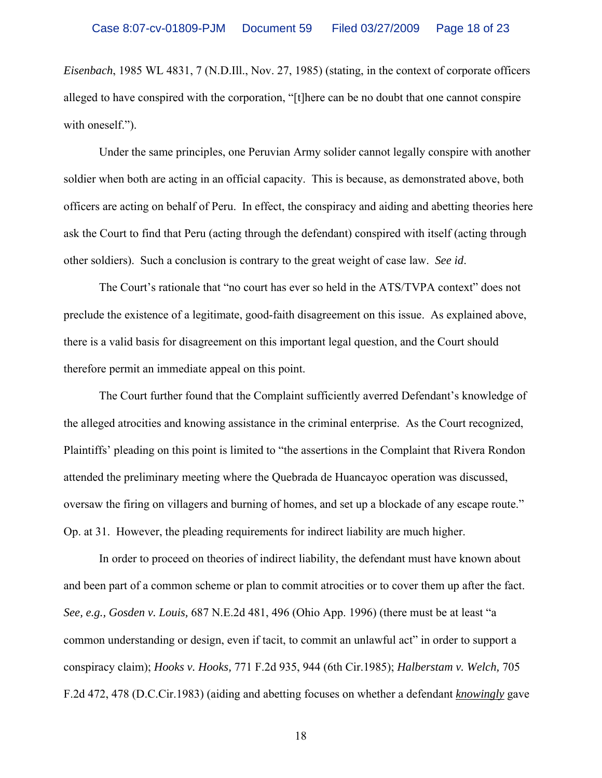*Eisenbach*, 1985 WL 4831, 7 (N.D.Ill., Nov. 27, 1985) (stating, in the context of corporate officers alleged to have conspired with the corporation, "[t]here can be no doubt that one cannot conspire with oneself.").

Under the same principles, one Peruvian Army solider cannot legally conspire with another soldier when both are acting in an official capacity. This is because, as demonstrated above, both officers are acting on behalf of Peru. In effect, the conspiracy and aiding and abetting theories here ask the Court to find that Peru (acting through the defendant) conspired with itself (acting through other soldiers). Such a conclusion is contrary to the great weight of case law. *See id*.

The Court's rationale that "no court has ever so held in the ATS/TVPA context" does not preclude the existence of a legitimate, good-faith disagreement on this issue. As explained above, there is a valid basis for disagreement on this important legal question, and the Court should therefore permit an immediate appeal on this point.

The Court further found that the Complaint sufficiently averred Defendant's knowledge of the alleged atrocities and knowing assistance in the criminal enterprise. As the Court recognized, Plaintiffs' pleading on this point is limited to "the assertions in the Complaint that Rivera Rondon attended the preliminary meeting where the Quebrada de Huancayoc operation was discussed, oversaw the firing on villagers and burning of homes, and set up a blockade of any escape route." Op. at 31. However, the pleading requirements for indirect liability are much higher.

In order to proceed on theories of indirect liability, the defendant must have known about and been part of a common scheme or plan to commit atrocities or to cover them up after the fact. *See, e.g., Gosden v. Louis,* 687 N.E.2d 481, 496 (Ohio App. 1996) (there must be at least "a common understanding or design, even if tacit, to commit an unlawful act" in order to support a conspiracy claim); *Hooks v. Hooks,* 771 F.2d 935, 944 (6th Cir.1985); *Halberstam v. Welch,* 705 F.2d 472, 478 (D.C.Cir.1983) (aiding and abetting focuses on whether a defendant *knowingly* gave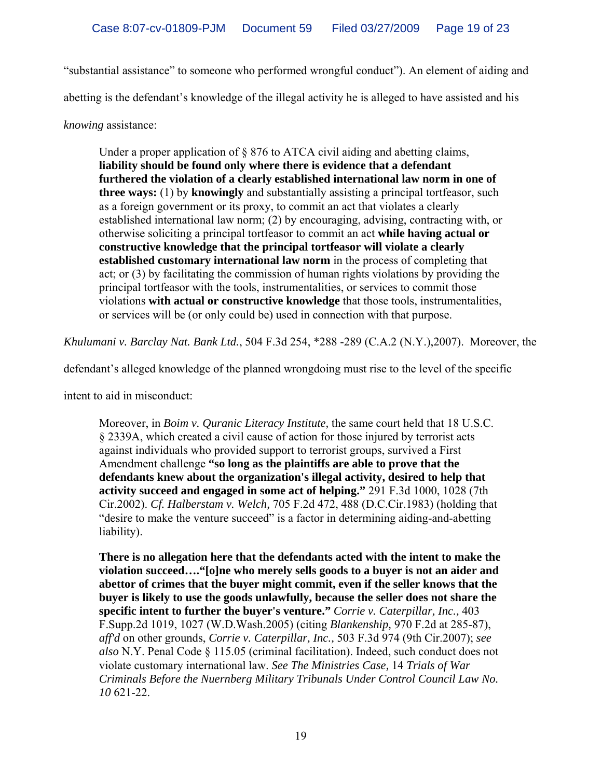"substantial assistance" to someone who performed wrongful conduct"). An element of aiding and

abetting is the defendant's knowledge of the illegal activity he is alleged to have assisted and his

*knowing* assistance:

Under a proper application of § 876 to ATCA civil aiding and abetting claims, **liability should be found only where there is evidence that a defendant furthered the violation of a clearly established international law norm in one of three ways:** (1) by **knowingly** and substantially assisting a principal tortfeasor, such as a foreign government or its proxy, to commit an act that violates a clearly established international law norm; (2) by encouraging, advising, contracting with, or otherwise soliciting a principal tortfeasor to commit an act **while having actual or constructive knowledge that the principal tortfeasor will violate a clearly established customary international law norm** in the process of completing that act; or (3) by facilitating the commission of human rights violations by providing the principal tortfeasor with the tools, instrumentalities, or services to commit those violations **with actual or constructive knowledge** that those tools, instrumentalities, or services will be (or only could be) used in connection with that purpose.

*Khulumani v. Barclay Nat. Bank Ltd.*, 504 F.3d 254, \*288 -289 (C.A.2 (N.Y.),2007). Moreover, the

defendant's alleged knowledge of the planned wrongdoing must rise to the level of the specific

intent to aid in misconduct:

Moreover, in *Boim v. Quranic Literacy Institute,* the same court held that 18 U.S.C. § 2339A, which created a civil cause of action for those injured by terrorist acts against individuals who provided support to terrorist groups, survived a First Amendment challenge **"so long as the plaintiffs are able to prove that the defendants knew about the organization's illegal activity, desired to help that activity succeed and engaged in some act of helping."** 291 F.3d 1000, 1028 (7th Cir.2002). *Cf. Halberstam v. Welch,* 705 F.2d 472, 488 (D.C.Cir.1983) (holding that "desire to make the venture succeed" is a factor in determining aiding-and-abetting liability).

**There is no allegation here that the defendants acted with the intent to make the violation succeed…."[o]ne who merely sells goods to a buyer is not an aider and abettor of crimes that the buyer might commit, even if the seller knows that the buyer is likely to use the goods unlawfully, because the seller does not share the specific intent to further the buyer's venture."** *Corrie v. Caterpillar, Inc.,* 403 F.Supp.2d 1019, 1027 (W.D.Wash.2005) (citing *Blankenship,* 970 F.2d at 285-87), *aff'd* on other grounds, *Corrie v. Caterpillar, Inc.,* 503 F.3d 974 (9th Cir.2007); *see also* N.Y. Penal Code § 115.05 (criminal facilitation). Indeed, such conduct does not violate customary international law. *See The Ministries Case,* 14 *Trials of War Criminals Before the Nuernberg Military Tribunals Under Control Council Law No. 10* 621-22.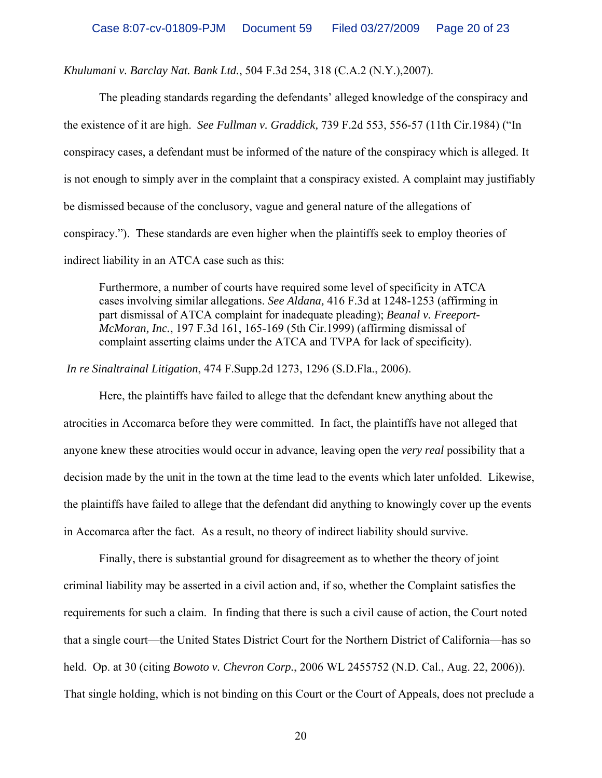*Khulumani v. Barclay Nat. Bank Ltd.*, 504 F.3d 254, 318 (C.A.2 (N.Y.),2007).

The pleading standards regarding the defendants' alleged knowledge of the conspiracy and the existence of it are high. *See Fullman v. Graddick,* 739 F.2d 553, 556-57 (11th Cir.1984) ("In conspiracy cases, a defendant must be informed of the nature of the conspiracy which is alleged. It is not enough to simply aver in the complaint that a conspiracy existed. A complaint may justifiably be dismissed because of the conclusory, vague and general nature of the allegations of conspiracy."). These standards are even higher when the plaintiffs seek to employ theories of indirect liability in an ATCA case such as this:

Furthermore, a number of courts have required some level of specificity in ATCA cases involving similar allegations. *See Aldana,* 416 F.3d at 1248-1253 (affirming in part dismissal of ATCA complaint for inadequate pleading); *Beanal v. Freeport-McMoran, Inc.*, 197 F.3d 161, 165-169 (5th Cir.1999) (affirming dismissal of complaint asserting claims under the ATCA and TVPA for lack of specificity).

*In re Sinaltrainal Litigation*, 474 F.Supp.2d 1273, 1296 (S.D.Fla., 2006).

Here, the plaintiffs have failed to allege that the defendant knew anything about the atrocities in Accomarca before they were committed. In fact, the plaintiffs have not alleged that anyone knew these atrocities would occur in advance, leaving open the *very real* possibility that a decision made by the unit in the town at the time lead to the events which later unfolded. Likewise, the plaintiffs have failed to allege that the defendant did anything to knowingly cover up the events in Accomarca after the fact. As a result, no theory of indirect liability should survive.

Finally, there is substantial ground for disagreement as to whether the theory of joint criminal liability may be asserted in a civil action and, if so, whether the Complaint satisfies the requirements for such a claim. In finding that there is such a civil cause of action, the Court noted that a single court—the United States District Court for the Northern District of California—has so held. Op. at 30 (citing *Bowoto v. Chevron Corp.*, 2006 WL 2455752 (N.D. Cal., Aug. 22, 2006)). That single holding, which is not binding on this Court or the Court of Appeals, does not preclude a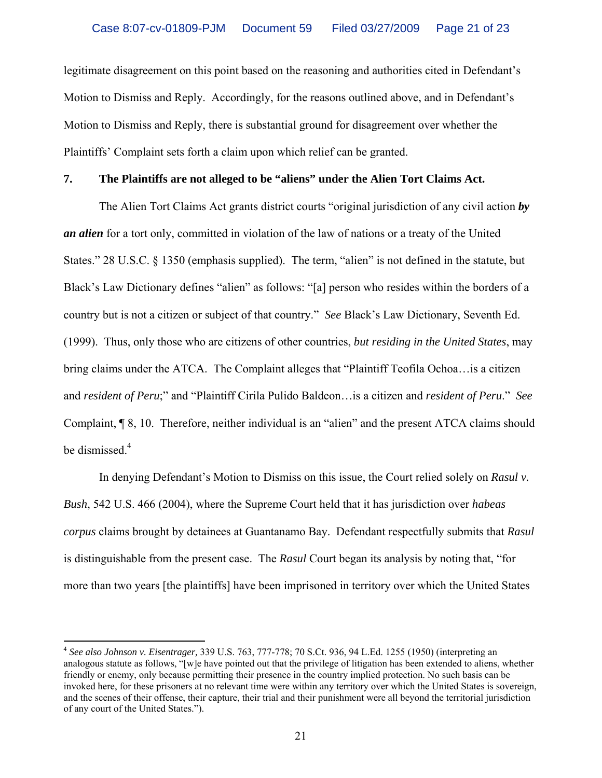legitimate disagreement on this point based on the reasoning and authorities cited in Defendant's Motion to Dismiss and Reply. Accordingly, for the reasons outlined above, and in Defendant's Motion to Dismiss and Reply, there is substantial ground for disagreement over whether the Plaintiffs' Complaint sets forth a claim upon which relief can be granted.

### **7. The Plaintiffs are not alleged to be "aliens" under the Alien Tort Claims Act.**

The Alien Tort Claims Act grants district courts "original jurisdiction of any civil action *by an alien* for a tort only, committed in violation of the law of nations or a treaty of the United States." 28 U.S.C. § 1350 (emphasis supplied). The term, "alien" is not defined in the statute, but Black's Law Dictionary defines "alien" as follows: "[a] person who resides within the borders of a country but is not a citizen or subject of that country." *See* Black's Law Dictionary, Seventh Ed. (1999). Thus, only those who are citizens of other countries, *but residing in the United States*, may bring claims under the ATCA. The Complaint alleges that "Plaintiff Teofila Ochoa…is a citizen and *resident of Peru*;" and "Plaintiff Cirila Pulido Baldeon…is a citizen and *resident of Peru*." *See* Complaint, ¶ 8, 10. Therefore, neither individual is an "alien" and the present ATCA claims should be dismissed.<sup>[4](#page-20-0)</sup>

In denying Defendant's Motion to Dismiss on this issue, the Court relied solely on *Rasul v. Bush*, 542 U.S. 466 (2004), where the Supreme Court held that it has jurisdiction over *habeas corpus* claims brought by detainees at Guantanamo Bay. Defendant respectfully submits that *Rasul*  is distinguishable from the present case. The *Rasul* Court began its analysis by noting that, "for more than two years [the plaintiffs] have been imprisoned in territory over which the United States

 $\overline{a}$ 

<span id="page-20-0"></span><sup>4</sup> *See also Johnson v. Eisentrager,* 339 U.S. 763, 777-778; 70 S.Ct. 936, 94 L.Ed. 1255 (1950) (interpreting an analogous statute as follows, "[w]e have pointed out that the privilege of litigation has been extended to aliens, whether friendly or enemy, only because permitting their presence in the country implied protection. No such basis can be invoked here, for these prisoners at no relevant time were within any territory over which the United States is sovereign, and the scenes of their offense, their capture, their trial and their punishment were all beyond the territorial jurisdiction of any court of the United States.").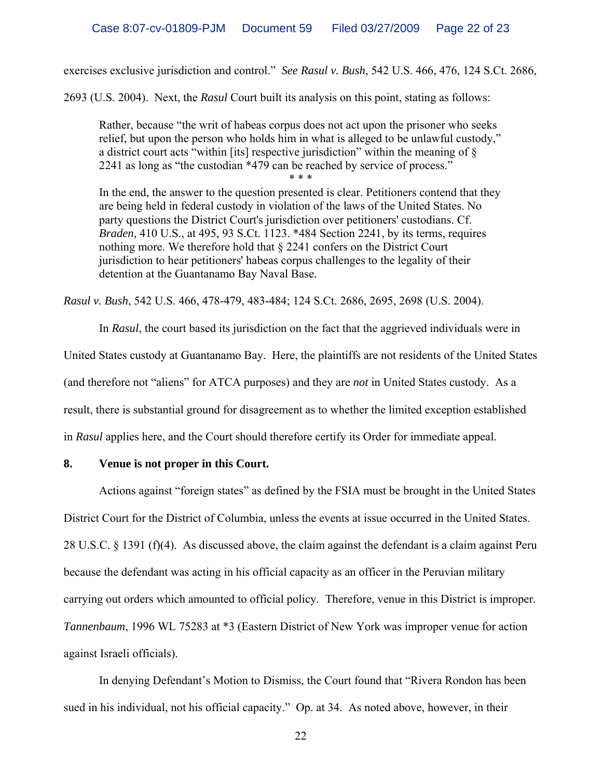exercises exclusive jurisdiction and control." *See Rasul v. Bush*, 542 U.S. 466, 476, 124 S.Ct. 2686,

2693 (U.S. 2004). Next, the *Rasul* Court built its analysis on this point, stating as follows:

Rather, because "the writ of habeas corpus does not act upon the prisoner who seeks relief, but upon the person who holds him in what is alleged to be unlawful custody," a district court acts "within [its] respective jurisdiction" within the meaning of § 2241 as long as "the custodian \*479 can be reached by service of process." \* \* \*

In the end, the answer to the question presented is clear. Petitioners contend that they are being held in federal custody in violation of the laws of the United States. No party questions the District Court's jurisdiction over petitioners' custodians. Cf. *Braden,* 410 U.S., at 495, 93 S.Ct. 1123. \*484 Section 2241, by its terms, requires nothing more. We therefore hold that § 2241 confers on the District Court jurisdiction to hear petitioners' habeas corpus challenges to the legality of their detention at the Guantanamo Bay Naval Base.

*Rasul v. Bush*, 542 U.S. 466, 478-479, 483-484; 124 S.Ct. 2686, 2695, 2698 (U.S. 2004).

 In *Rasul*, the court based its jurisdiction on the fact that the aggrieved individuals were in United States custody at Guantanamo Bay. Here, the plaintiffs are not residents of the United States (and therefore not "aliens" for ATCA purposes) and they are *not* in United States custody. As a result, there is substantial ground for disagreement as to whether the limited exception established in *Rasul* applies here, and the Court should therefore certify its Order for immediate appeal.

### **8. Venue is not proper in this Court.**

Actions against "foreign states" as defined by the FSIA must be brought in the United States District Court for the District of Columbia, unless the events at issue occurred in the United States. 28 U.S.C. § 1391 (f)(4). As discussed above, the claim against the defendant is a claim against Peru because the defendant was acting in his official capacity as an officer in the Peruvian military carrying out orders which amounted to official policy. Therefore, venue in this District is improper. *Tannenbaum*, 1996 WL 75283 at \*3 (Eastern District of New York was improper venue for action against Israeli officials).

In denying Defendant's Motion to Dismiss, the Court found that "Rivera Rondon has been sued in his individual, not his official capacity." Op. at 34. As noted above, however, in their